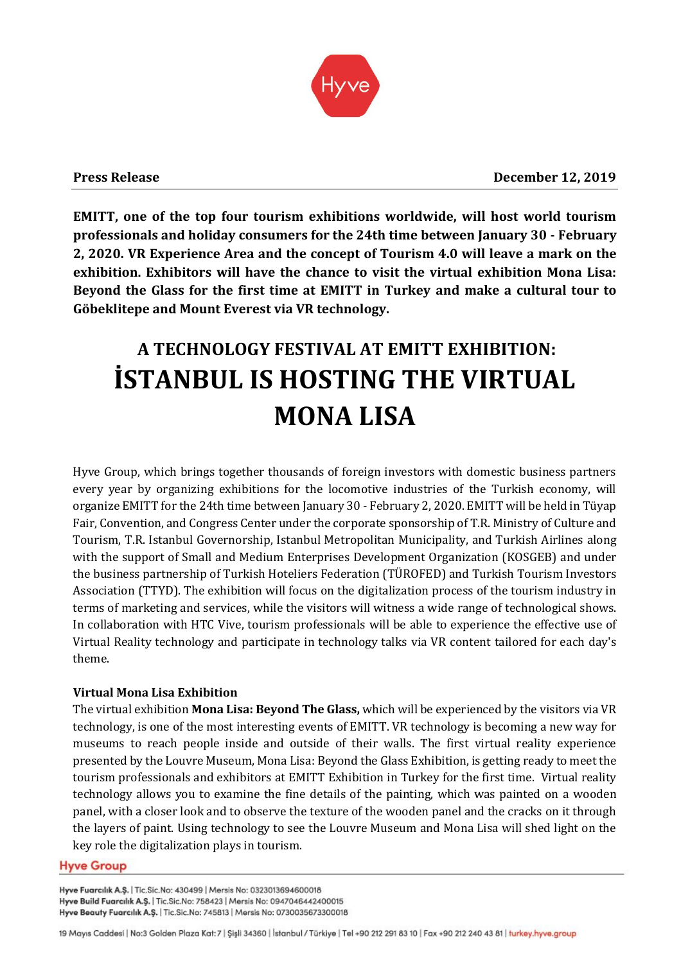

**EMITT, one of the top four tourism exhibitions worldwide, will host world tourism professionals and holiday consumers for the 24th time between January 30 - February 2, 2020. VR Experience Area and the concept of Tourism 4.0 will leave a mark on the exhibition. Exhibitors will have the chance to visit the virtual exhibition Mona Lisa: Beyond the Glass for the first time at EMITT in Turkey and make a cultural tour to Göbeklitepe and Mount Everest via VR technology.**

# **A TECHNOLOGY FESTIVAL AT EMITT EXHIBITION: İSTANBUL IS HOSTING THE VIRTUAL MONA LISA**

Hyve Group, which brings together thousands of foreign investors with domestic business partners every year by organizing exhibitions for the locomotive industries of the Turkish economy, will organize EMITT for the 24th time between January 30 - February 2, 2020. EMITT will be held in Tüyap Fair, Convention, and Congress Center under the corporate sponsorship of T.R. Ministry of Culture and Tourism, T.R. Istanbul Governorship, Istanbul Metropolitan Municipality, and Turkish Airlines along with the support of Small and Medium Enterprises Development Organization (KOSGEB) and under the business partnership of Turkish Hoteliers Federation (TÜROFED) and Turkish Tourism Investors Association (TTYD). The exhibition will focus on the digitalization process of the tourism industry in terms of marketing and services, while the visitors will witness a wide range of technological shows. In collaboration with HTC Vive, tourism professionals will be able to experience the effective use of Virtual Reality technology and participate in technology talks via VR content tailored for each day's theme.

# **Virtual Mona Lisa Exhibition**

The virtual exhibition **Mona Lisa: Beyond The Glass,** which will be experienced by the visitors via VR technology, is one of the most interesting events of EMITT. VR technology is becoming a new way for museums to reach people inside and outside of their walls. The first virtual reality experience presented by the Louvre Museum, Mona Lisa: Beyond the Glass Exhibition, is getting ready to meet the tourism professionals and exhibitors at EMITT Exhibition in Turkey for the first time. Virtual reality technology allows you to examine the fine details of the painting, which was painted on a wooden panel, with a closer look and to observe the texture of the wooden panel and the cracks on it through the layers of paint. Using technology to see the Louvre Museum and Mona Lisa will shed light on the key role the digitalization plays in tourism.

## **Hyve Group**

Hyve Fuarcılık A.Ş. | Tic.Sic.No: 430499 | Mersis No: 0323013694600018 Hyve Build Fuarcılık A.Ş. | Tic.Sic.No: 758423 | Mersis No: 0947046442400015 Hyve Beauty Fuarcılık A.Ş. | Tic.Sic.No: 745813 | Mersis No: 0730035673300018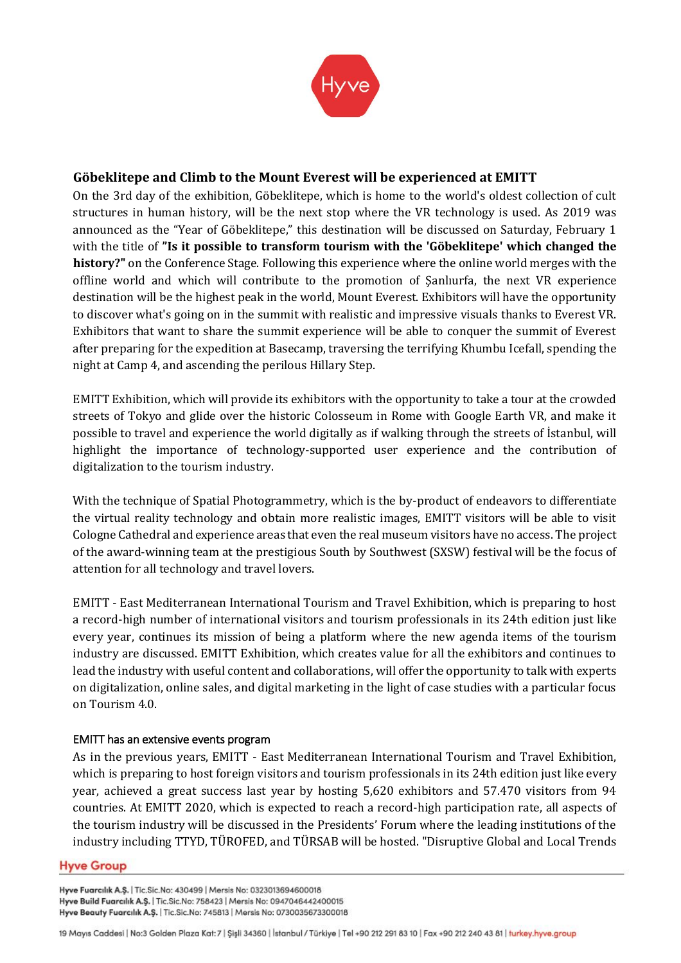

## **Göbeklitepe and Climb to the Mount Everest will be experienced at EMITT**

On the 3rd day of the exhibition, Göbeklitepe, which is home to the world's oldest collection of cult structures in human history, will be the next stop where the VR technology is used. As 2019 was announced as the "Year of Göbeklitepe," this destination will be discussed on Saturday, February 1 with the title of **"Is it possible to transform tourism with the 'Göbeklitepe' which changed the history?"** on the Conference Stage. Following this experience where the online world merges with the offline world and which will contribute to the promotion of Şanlıurfa, the next VR experience destination will be the highest peak in the world, Mount Everest. Exhibitors will have the opportunity to discover what's going on in the summit with realistic and impressive visuals thanks to Everest VR. Exhibitors that want to share the summit experience will be able to conquer the summit of Everest after preparing for the expedition at Basecamp, traversing the terrifying Khumbu Icefall, spending the night at Camp 4, and ascending the perilous Hillary Step.

EMITT Exhibition, which will provide its exhibitors with the opportunity to take a tour at the crowded streets of Tokyo and glide over the historic Colosseum in Rome with Google Earth VR, and make it possible to travel and experience the world digitally as if walking through the streets of İstanbul, will highlight the importance of technology-supported user experience and the contribution of digitalization to the tourism industry.

With the technique of Spatial Photogrammetry, which is the by-product of endeavors to differentiate the virtual reality technology and obtain more realistic images, EMITT visitors will be able to visit Cologne Cathedral and experience areas that even the real museum visitors have no access. The project of the award-winning team at the prestigious South by Southwest (SXSW) festival will be the focus of attention for all technology and travel lovers.

EMITT - East Mediterranean International Tourism and Travel Exhibition, which is preparing to host a record-high number of international visitors and tourism professionals in its 24th edition just like every year, continues its mission of being a platform where the new agenda items of the tourism industry are discussed. EMITT Exhibition, which creates value for all the exhibitors and continues to lead the industry with useful content and collaborations, will offer the opportunity to talk with experts on digitalization, online sales, and digital marketing in the light of case studies with a particular focus on Tourism 4.0.

## EMITT has an extensive events program

As in the previous years, EMITT - East Mediterranean International Tourism and Travel Exhibition, which is preparing to host foreign visitors and tourism professionals in its 24th edition just like every year, achieved a great success last year by hosting 5,620 exhibitors and 57.470 visitors from 94 countries. At EMITT 2020, which is expected to reach a record-high participation rate, all aspects of the tourism industry will be discussed in the Presidents' Forum where the leading institutions of the industry including TTYD, TÜROFED, and TÜRSAB will be hosted. "Disruptive Global and Local Trends

### **Hyve Group**

Hyve Fuarcılık A.Ş. | Tic.Sic.No: 430499 | Mersis No: 0323013694600018 Hyve Build Fuarcılık A.Ş. | Tic.Sic.No: 758423 | Mersis No: 0947046442400015 Hyve Beauty Fuarcılık A.Ş. | Tic.Sic.No: 745813 | Mersis No: 0730035673300018

<sup>19</sup> Mayıs Caddesi | No:3 Golden Plaza Kat: 7 | Şişli 34360 | İstanbul / Türkiye | Tel +90 212 291 83 10 | Fax +90 212 240 43 81 | turkey.hyve.group